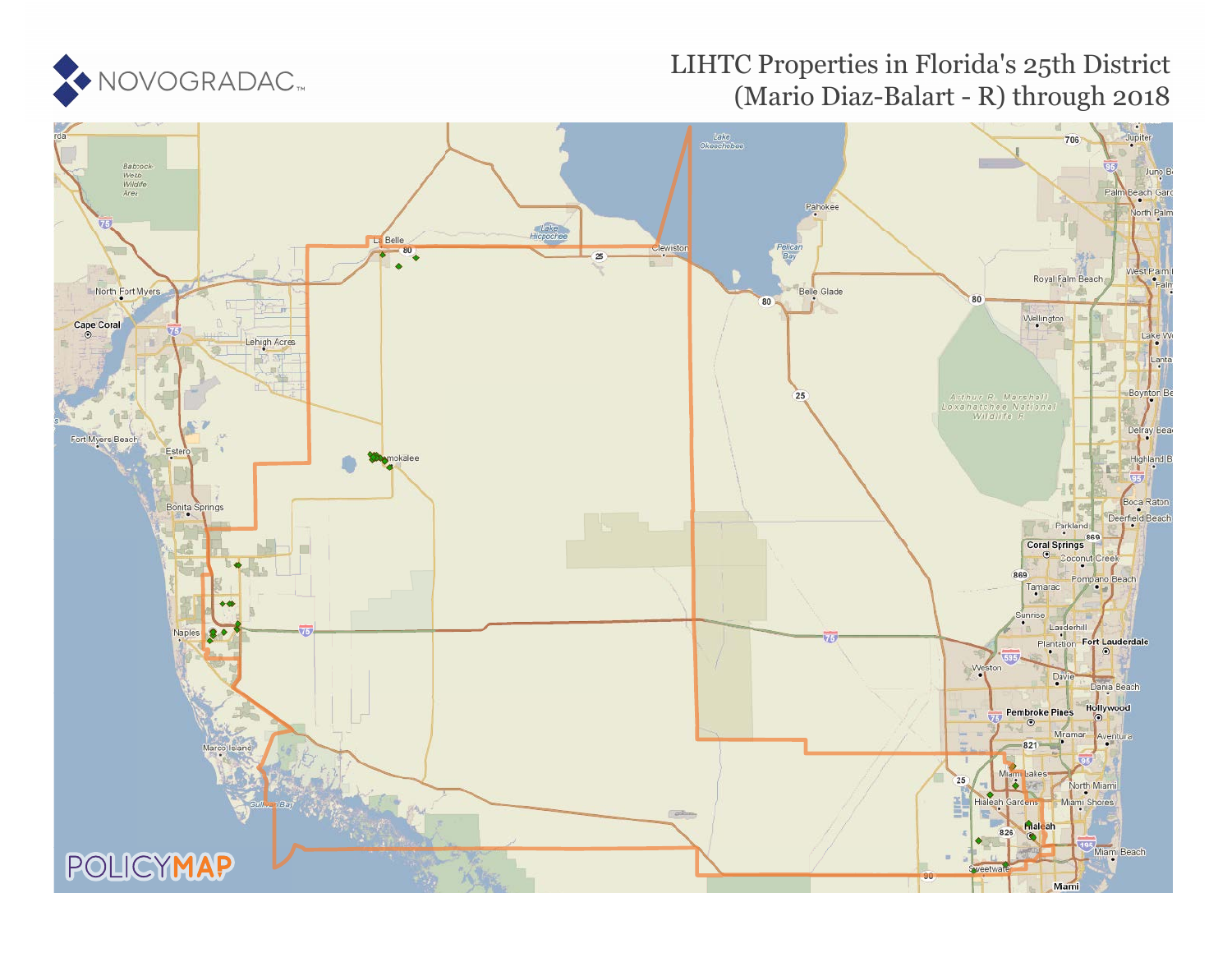

# LIHTC Properties in Florida's 25th District (Mario Diaz-Balart - R) through 2018

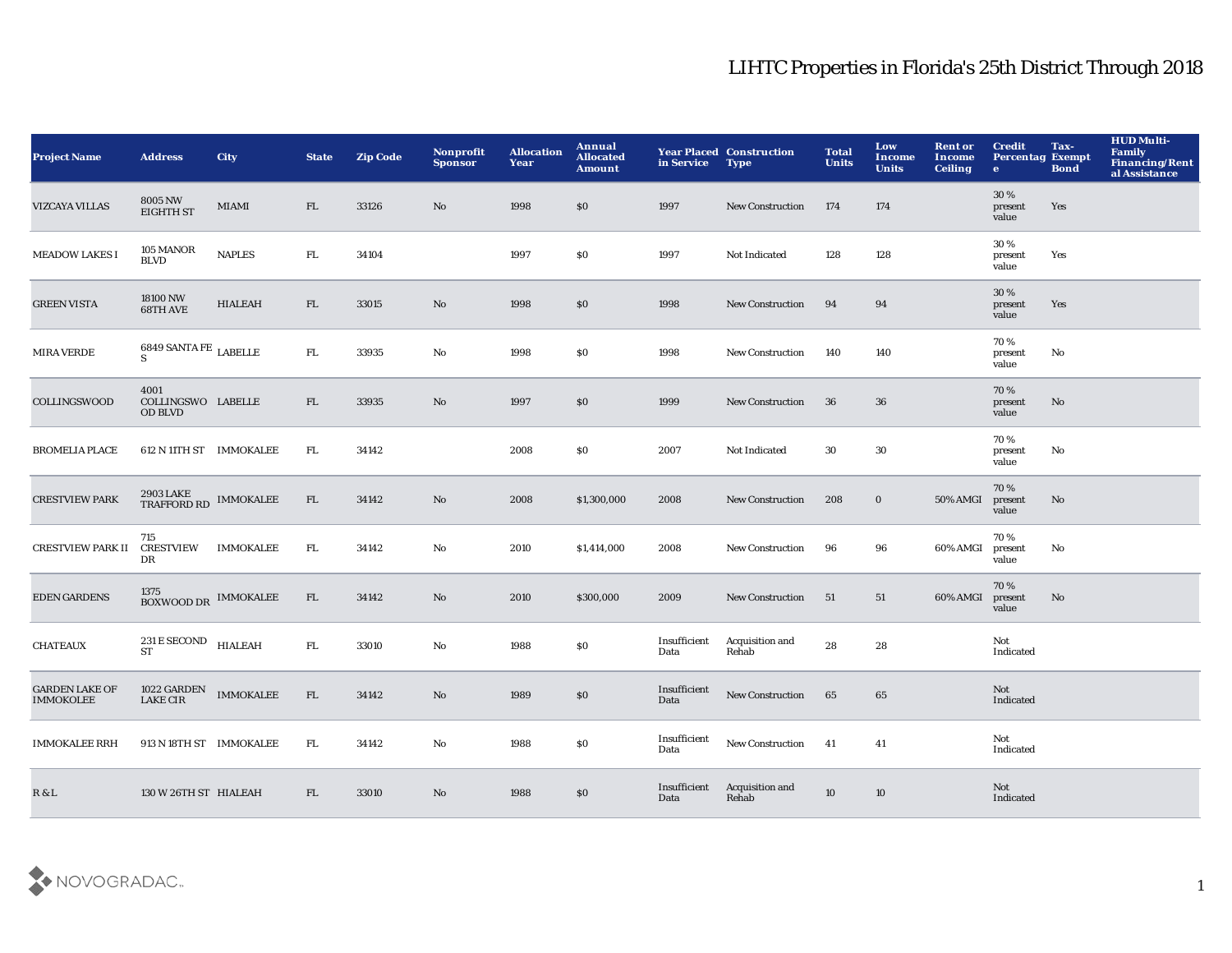| <b>Project Name</b>                       | <b>Address</b>                                  | <b>City</b>      | <b>State</b> | <b>Zip Code</b> | Nonprofit<br><b>Sponsor</b> | <b>Allocation</b><br>Year | Annual<br><b>Allocated</b><br><b>Amount</b> | in Service           | <b>Year Placed Construction</b><br><b>Type</b> | <b>Total</b><br><b>Units</b> | Low<br><b>Income</b><br><b>Units</b> | <b>Rent or</b><br><b>Income</b><br><b>Ceiling</b> | <b>Credit</b><br><b>Percentag Exempt</b><br>$\bullet$ | Tax-<br><b>Bond</b> | <b>HUD Multi-</b><br>Family<br>Financing/Rent<br>al Assistance |
|-------------------------------------------|-------------------------------------------------|------------------|--------------|-----------------|-----------------------------|---------------------------|---------------------------------------------|----------------------|------------------------------------------------|------------------------------|--------------------------------------|---------------------------------------------------|-------------------------------------------------------|---------------------|----------------------------------------------------------------|
| <b>VIZCAYA VILLAS</b>                     | 8005 NW<br><b>EIGHTH ST</b>                     | MIAMI            | FL           | 33126           | No                          | 1998                      | \$0                                         | 1997                 | <b>New Construction</b>                        | 174                          | 174                                  |                                                   | 30%<br>present<br>value                               | Yes                 |                                                                |
| <b>MEADOW LAKES I</b>                     | 105 MANOR<br><b>BLVD</b>                        | <b>NAPLES</b>    | FL           | 34104           |                             | 1997                      | \$0                                         | 1997                 | Not Indicated                                  | 128                          | 128                                  |                                                   | 30%<br>present<br>value                               | Yes                 |                                                                |
| <b>GREEN VISTA</b>                        | 18100 NW<br>68TH AVE                            | <b>HIALEAH</b>   | FL           | 33015           | $\mathbf{N}\mathbf{o}$      | 1998                      | $\$0$                                       | 1998                 | <b>New Construction</b>                        | 94                           | 94                                   |                                                   | 30%<br>present<br>value                               | Yes                 |                                                                |
| <b>MIRA VERDE</b>                         | 6849 SANTA FE $_{\rm LABELLE}$<br>S             |                  | FL.          | 33935           | No                          | 1998                      | \$0                                         | 1998                 | <b>New Construction</b>                        | 140                          | 140                                  |                                                   | 70%<br>present<br>value                               | No                  |                                                                |
| COLLINGSWOOD                              | 4001<br>COLLINGSWO LABELLE<br><b>OD BLVD</b>    |                  | FL.          | 33935           | No                          | 1997                      | \$0                                         | 1999                 | <b>New Construction</b>                        | 36                           | 36                                   |                                                   | 70%<br>present<br>value                               | No                  |                                                                |
| <b>BROMELIA PLACE</b>                     | 612 N 11TH ST IMMOKALEE                         |                  | FL.          | 34142           |                             | 2008                      | \$0                                         | 2007                 | Not Indicated                                  | 30                           | 30                                   |                                                   | 70%<br>present<br>value                               | No                  |                                                                |
| <b>CRESTVIEW PARK</b>                     | <b>2903 LAKE</b><br><b>TRAFFORD RD</b>          | <b>IMMOKALEE</b> | FL           | 34142           | No                          | 2008                      | \$1,300,000                                 | 2008                 | <b>New Construction</b>                        | 208                          | $\bf{0}$                             | <b>50% AMGI</b>                                   | 70%<br>present<br>value                               | $\mathbf{No}$       |                                                                |
| <b>CRESTVIEW PARK II</b>                  | 715<br><b>CRESTVIEW</b><br>DR                   | <b>IMMOKALEE</b> | FL.          | 34142           | No                          | 2010                      | \$1,414,000                                 | 2008                 | <b>New Construction</b>                        | 96                           | 96                                   | 60% AMGI                                          | 70%<br>present<br>value                               | No                  |                                                                |
| <b>EDEN GARDENS</b>                       | 1375<br>BOXWOOD DR IMMOKALEE                    |                  | FL           | 34142           | No                          | 2010                      | \$300,000                                   | 2009                 | <b>New Construction</b>                        | 51                           | 51                                   | 60% AMGI                                          | 70%<br>present<br>value                               | No                  |                                                                |
| <b>CHATEAUX</b>                           | 231 E SECOND<br><b>ST</b>                       | <b>HIALEAH</b>   | FL.          | 33010           | $\mathbf{N}\mathbf{o}$      | 1988                      | \$0                                         | Insufficient<br>Data | Acquisition and<br>Rehab                       | 28                           | 28                                   |                                                   | Not<br>Indicated                                      |                     |                                                                |
| <b>GARDEN LAKE OF</b><br><b>IMMOKOLEE</b> | $1022$ GARDEN $\_$ IMMOKALEE<br><b>LAKE CIR</b> |                  | FL           | 34142           | $\mathbf{N}\mathbf{o}$      | 1989                      | $\$0$                                       | Insufficient<br>Data | New Construction                               | 65                           | 65                                   |                                                   | Not<br>Indicated                                      |                     |                                                                |
| <b>IMMOKALEE RRH</b>                      | 913 N 18TH ST IMMOKALEE                         |                  | FL.          | 34142           | No                          | 1988                      | \$0                                         | Insufficient<br>Data | New Construction                               | 41                           | 41                                   |                                                   | Not<br>Indicated                                      |                     |                                                                |
| R & L                                     | 130 W 26TH ST HIALEAH                           |                  | FL           | 33010           | No                          | 1988                      | \$0                                         | Insufficient<br>Data | Acquisition and<br>Rehab                       | 10                           | 10                                   |                                                   | Not<br>Indicated                                      |                     |                                                                |

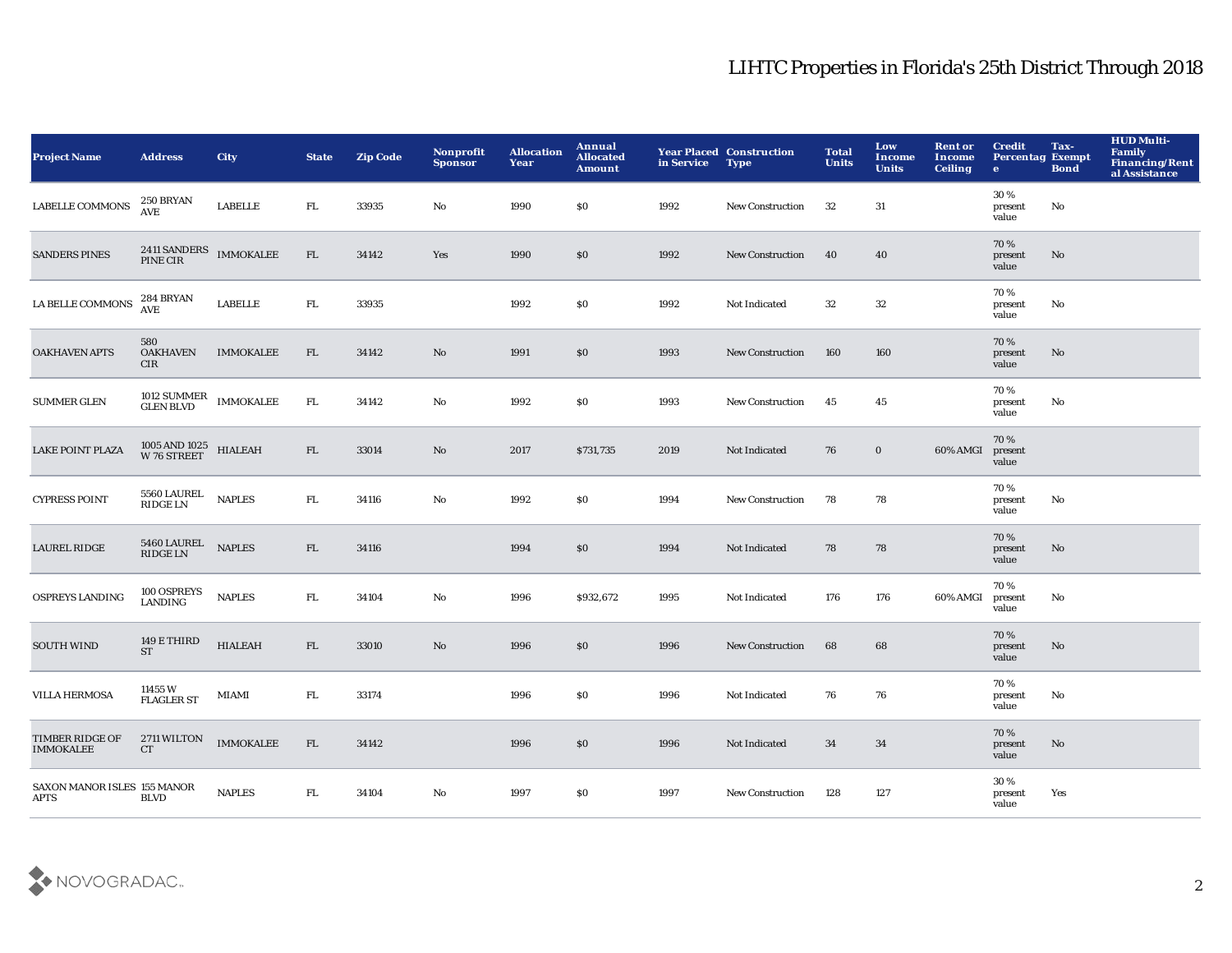| <b>Project Name</b>                        | <b>Address</b>                                | <b>City</b>      | <b>State</b> | <b>Zip Code</b> | Nonprofit<br><b>Sponsor</b> | <b>Allocation</b><br>Year | Annual<br><b>Allocated</b><br><b>Amount</b>      | in Service | <b>Year Placed Construction</b><br><b>Type</b> | <b>Total</b><br><b>Units</b> | Low<br><b>Income</b><br><b>Units</b> | <b>Rent or</b><br><b>Income</b><br><b>Ceiling</b> | <b>Credit</b><br><b>Percentag Exempt</b><br>$\bullet$ | Tax-<br><b>Bond</b> | <b>HUD Multi-</b><br>Family<br>Financing/Rent<br>al Assistance |
|--------------------------------------------|-----------------------------------------------|------------------|--------------|-----------------|-----------------------------|---------------------------|--------------------------------------------------|------------|------------------------------------------------|------------------------------|--------------------------------------|---------------------------------------------------|-------------------------------------------------------|---------------------|----------------------------------------------------------------|
| <b>LABELLE COMMONS</b>                     | 250 BRYAN<br><b>AVE</b>                       | <b>LABELLE</b>   | ${\rm FL}$   | 33935           | No                          | 1990                      | $\boldsymbol{\mathsf{S}}\boldsymbol{\mathsf{0}}$ | 1992       | New Construction                               | 32                           | 31                                   |                                                   | 30%<br>present<br>value                               | No                  |                                                                |
| <b>SANDERS PINES</b>                       | 2411 SANDERS<br>PINE CIR                      | <b>IMMOKALEE</b> | ${\rm FL}$   | 34142           | Yes                         | 1990                      | \$0                                              | 1992       | <b>New Construction</b>                        | 40                           | 40                                   |                                                   | 70%<br>present<br>value                               | No                  |                                                                |
| LA BELLE COMMONS                           | <b>284 BRYAN</b><br><b>AVE</b>                | <b>LABELLE</b>   | ${\rm FL}$   | 33935           |                             | 1992                      | S <sub>0</sub>                                   | 1992       | Not Indicated                                  | 32                           | $32\,$                               |                                                   | 70%<br>present<br>value                               | No                  |                                                                |
| <b>OAKHAVEN APTS</b>                       | 580<br><b>OAKHAVEN</b><br>CIR                 | <b>IMMOKALEE</b> | FL           | 34142           | No                          | 1991                      | \$0\$                                            | 1993       | <b>New Construction</b>                        | 160                          | 160                                  |                                                   | 70%<br>present<br>value                               | No                  |                                                                |
| <b>SUMMER GLEN</b>                         | 1012 SUMMER<br>GLEN BLVD                      | <b>IMMOKALEE</b> | FL.          | 34142           | No                          | 1992                      | \$0                                              | 1993       | New Construction                               | 45                           | 45                                   |                                                   | 70%<br>present<br>value                               | No                  |                                                                |
| <b>LAKE POINT PLAZA</b>                    | $1005$ AND $1025$ $$\,$ HIALEAH W $76$ STREET |                  | FL           | 33014           | No                          | 2017                      | \$731,735                                        | 2019       | Not Indicated                                  | 76                           | $\bf{0}$                             | 60% AMGI                                          | 70%<br>present<br>value                               |                     |                                                                |
| <b>CYPRESS POINT</b>                       | <b>5560 LAUREL</b><br><b>RIDGE LN</b>         | <b>NAPLES</b>    | ${\rm FL}$   | 34116           | No                          | 1992                      | \$0                                              | 1994       | <b>New Construction</b>                        | 78                           | 78                                   |                                                   | 70%<br>present<br>value                               | No                  |                                                                |
| <b>LAUREL RIDGE</b>                        | 5460 LAUREL<br>RIDGE LN                       | <b>NAPLES</b>    | FL           | 34116           |                             | 1994                      | \$0                                              | 1994       | Not Indicated                                  | 78                           | 78                                   |                                                   | 70%<br>present<br>value                               | No                  |                                                                |
| <b>OSPREYS LANDING</b>                     | 100 OSPREYS<br><b>LANDING</b>                 | <b>NAPLES</b>    | FL.          | 34104           | $\mathbf{N}\mathbf{o}$      | 1996                      | \$932,672                                        | 1995       | <b>Not Indicated</b>                           | 176                          | 176                                  | 60% AMGI                                          | 70%<br>present<br>value                               | No                  |                                                                |
| <b>SOUTH WIND</b>                          | 149 E THIRD<br><b>ST</b>                      | <b>HIALEAH</b>   | FL           | 33010           | No                          | 1996                      | \$0                                              | 1996       | New Construction                               | 68                           | 68                                   |                                                   | 70%<br>present<br>value                               | No                  |                                                                |
| <b>VILLA HERMOSA</b>                       | 11455 W<br><b>FLAGLER ST</b>                  | MIAMI            | ${\rm FL}$   | 33174           |                             | 1996                      | \$0                                              | 1996       | Not Indicated                                  | 76                           | 76                                   |                                                   | 70 %<br>present<br>value                              | No                  |                                                                |
| TIMBER RIDGE OF<br><b>IMMOKALEE</b>        | 2711 WILTON<br>CT                             | <b>IMMOKALEE</b> | FL           | 34142           |                             | 1996                      | \$0                                              | 1996       | Not Indicated                                  | 34                           | 34                                   |                                                   | 70%<br>present<br>value                               | No                  |                                                                |
| SAXON MANOR ISLES 155 MANOR<br><b>APTS</b> | <b>BLVD</b>                                   | <b>NAPLES</b>    | ${\rm FL}$   | 34104           | No                          | 1997                      | \$0                                              | 1997       | <b>New Construction</b>                        | 128                          | 127                                  |                                                   | 30%<br>present<br>value                               | Yes                 |                                                                |

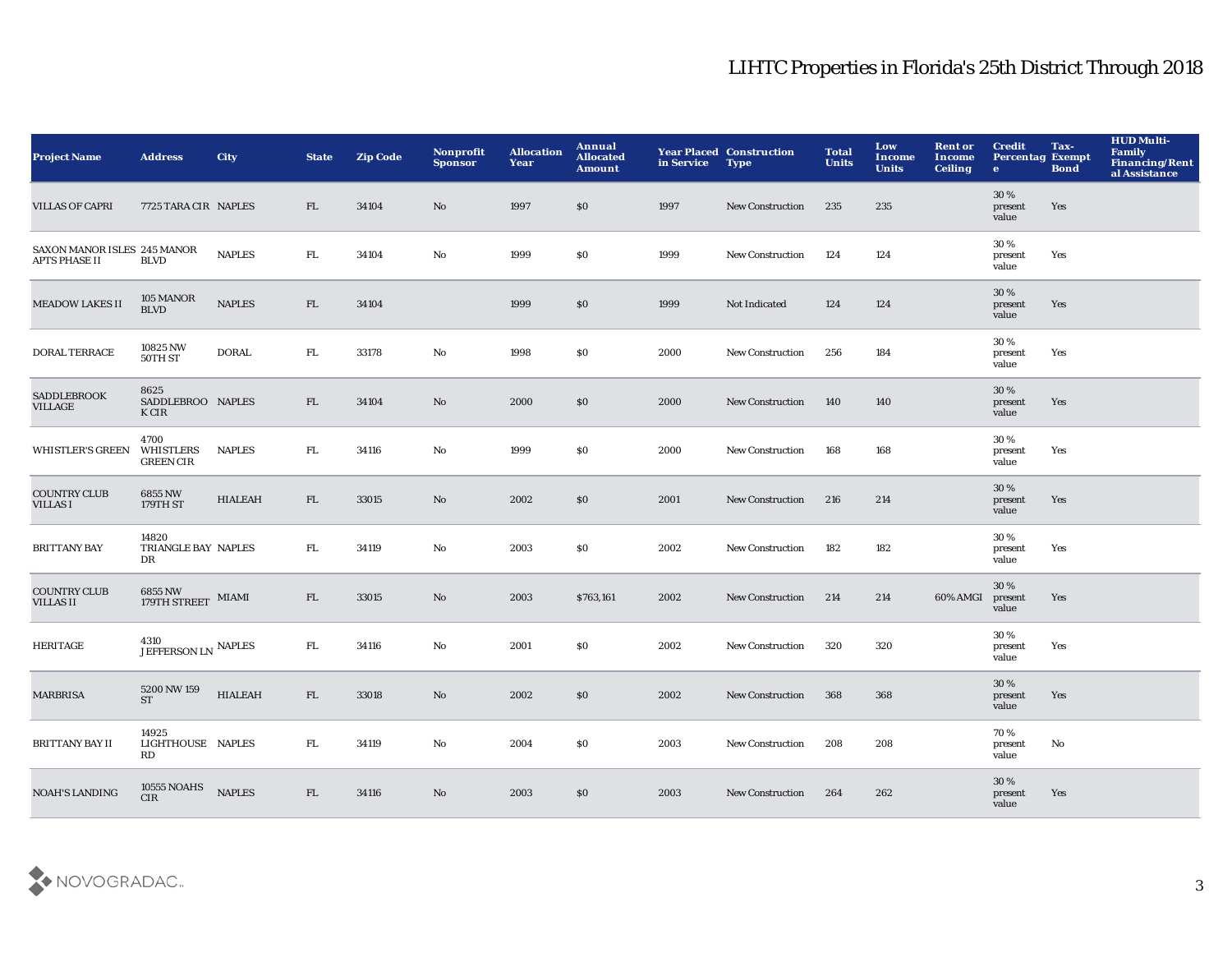| <b>Project Name</b>                          | <b>Address</b>                                    | <b>City</b>    | <b>State</b> | <b>Zip Code</b> | Nonprofit<br><b>Sponsor</b> | <b>Allocation</b><br>Year | Annual<br><b>Allocated</b><br><b>Amount</b> | in Service | <b>Year Placed Construction</b><br><b>Type</b> | <b>Total</b><br><b>Units</b> | Low<br>Income<br><b>Units</b> | <b>Rent or</b><br><b>Income</b><br><b>Ceiling</b> | <b>Credit</b><br><b>Percentag Exempt</b><br>$\mathbf{e}$ | Tax-<br><b>Bond</b> | <b>HUD Multi-</b><br><b>Family</b><br><b>Financing/Rent</b><br>al Assistance |
|----------------------------------------------|---------------------------------------------------|----------------|--------------|-----------------|-----------------------------|---------------------------|---------------------------------------------|------------|------------------------------------------------|------------------------------|-------------------------------|---------------------------------------------------|----------------------------------------------------------|---------------------|------------------------------------------------------------------------------|
| <b>VILLAS OF CAPRI</b>                       | 7725 TARA CIR NAPLES                              |                | FL           | 34104           | No                          | 1997                      | \$0                                         | 1997       | <b>New Construction</b>                        | 235                          | 235                           |                                                   | 30%<br>present<br>value                                  | Yes                 |                                                                              |
| SAXON MANOR ISLES 245 MANOR<br>APTS PHASE II | <b>BLVD</b>                                       | <b>NAPLES</b>  | ${\rm FL}$   | 34104           | $\mathbf{N}\mathbf{o}$      | 1999                      | $\$0$                                       | 1999       | New Construction                               | 124                          | 124                           |                                                   | 30%<br>present<br>value                                  | Yes                 |                                                                              |
| <b>MEADOW LAKES II</b>                       | 105 MANOR<br><b>BLVD</b>                          | <b>NAPLES</b>  | FL           | 34104           |                             | 1999                      | $\$0$                                       | 1999       | Not Indicated                                  | 124                          | 124                           |                                                   | 30%<br>present<br>value                                  | Yes                 |                                                                              |
| DORAL TERRACE                                | 10825 NW<br>50TH ST                               | <b>DORAL</b>   | FL.          | 33178           | No                          | 1998                      | \$0\$                                       | 2000       | New Construction                               | 256                          | 184                           |                                                   | 30%<br>present<br>value                                  | Yes                 |                                                                              |
| <b>SADDLEBROOK</b><br>VILLAGE                | 8625<br>SADDLEBROO NAPLES<br>K CIR                |                | FL           | 34104           | No                          | 2000                      | $\$0$                                       | 2000       | <b>New Construction</b>                        | 140                          | 140                           |                                                   | 30%<br>present<br>value                                  | Yes                 |                                                                              |
| <b>WHISTLER'S GREEN</b>                      | 4700<br>WHISTLERS<br><b>GREEN CIR</b>             | <b>NAPLES</b>  | FL.          | 34116           | No                          | 1999                      | \$0                                         | 2000       | <b>New Construction</b>                        | 168                          | 168                           |                                                   | 30 %<br>present<br>value                                 | Yes                 |                                                                              |
| <b>COUNTRY CLUB</b><br><b>VILLAS I</b>       | 6855 NW<br>179TH ST                               | <b>HIALEAH</b> | FL           | 33015           | No                          | 2002                      | \$0                                         | 2001       | <b>New Construction</b>                        | 216                          | 214                           |                                                   | 30 %<br>present<br>value                                 | Yes                 |                                                                              |
| <b>BRITTANY BAY</b>                          | 14820<br>TRIANGLE BAY NAPLES<br>DR                |                | FL.          | 34119           | No                          | 2003                      | S <sub>0</sub>                              | 2002       | New Construction                               | 182                          | 182                           |                                                   | 30%<br>present<br>value                                  | Yes                 |                                                                              |
| <b>COUNTRY CLUB</b><br><b>VILLAS II</b>      | $6855\,\mathrm{NW}$ MIAMI 179TH STREET $\,$ MIAMI |                | FL           | 33015           | No                          | 2003                      | \$763,161                                   | 2002       | <b>New Construction</b>                        | 214                          | 214                           | 60% AMGI                                          | 30 %<br>present<br>value                                 | Yes                 |                                                                              |
| <b>HERITAGE</b>                              | 4310<br>JEFFERSON LN NAPLES                       |                | ${\rm FL}$   | 34116           | No                          | 2001                      | $\$0$                                       | 2002       | <b>New Construction</b>                        | 320                          | 320                           |                                                   | 30%<br>present<br>value                                  | Yes                 |                                                                              |
| <b>MARBRISA</b>                              | 5200 NW 159<br><b>ST</b>                          | <b>HIALEAH</b> | FL           | 33018           | $\mathbf{N}\mathbf{o}$      | 2002                      | \$0                                         | 2002       | <b>New Construction</b>                        | 368                          | 368                           |                                                   | 30%<br>present<br>value                                  | Yes                 |                                                                              |
| <b>BRITTANY BAY II</b>                       | 14925<br>LIGHTHOUSE NAPLES<br>RD                  |                | FL.          | 34119           | No                          | 2004                      | \$0                                         | 2003       | New Construction                               | 208                          | 208                           |                                                   | 70%<br>present<br>value                                  | No                  |                                                                              |
| <b>NOAH'S LANDING</b>                        | 10555 NOAHS<br><b>CIR</b>                         | <b>NAPLES</b>  | FL           | 34116           | No                          | 2003                      | \$0                                         | 2003       | <b>New Construction</b>                        | 264                          | 262                           |                                                   | 30%<br>present<br>value                                  | Yes                 |                                                                              |